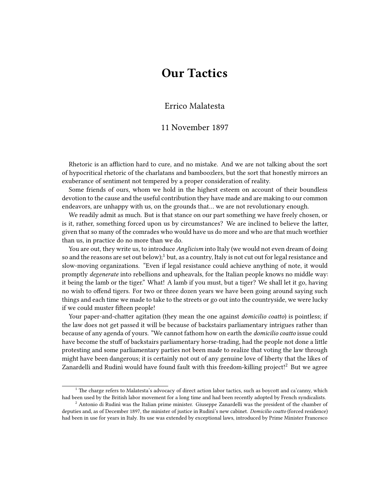## **Our Tactics**

## Errico Malatesta

## 11 November 1897

Rhetoric is an affliction hard to cure, and no mistake. And we are not talking about the sort of hypocritical rhetoric of the charlatans and bamboozlers, but the sort that honestly mirrors an exuberance of sentiment not tempered by a proper consideration of reality.

Some friends of ours, whom we hold in the highest esteem on account of their boundless devotion to the cause and the useful contribution they have made and are making to our common endeavors, are unhappy with us, on the grounds that… we are not revolutionary enough.

We readily admit as much. But is that stance on our part something we have freely chosen, or is it, rather, something forced upon us by circumstances? We are inclined to believe the latter, given that so many of the comrades who would have us do more and who are that much worthier than us, in practice do no more than we do.

You are out, they write us, to introduce *Anglicism* into Italy (we would not even dream of doing so and the reasons are set out below);<sup>1</sup> but, as a country, Italy is not cut out for legal resistance and slow-moving organizations. "Even if legal resistance could achieve anything of note, it would promptly *degenerate* into rebellions and upheavals, for the Italian people knows no middle way: it being the lamb or the tiger." What! A lamb if you must, but a tiger? We shall let it go, having no wish to offend tigers. For two or three dozen years we have been going around saying such things and each time we made to take to the streets or go out into the countryside, we were lucky if we could muster fifteen people!

Your paper-and-chatter agitation (they mean the one against *domicilio coatto*) is pointless; if the law does not get passed it will be because of backstairs parliamentary intrigues rather than because of any agenda of yours. "We cannot fathom how on earth the *domicilio coatto* issue could have become the stuff of backstairs parliamentary horse-trading, had the people not done a little protesting and some parliamentary parties not been made to realize that voting the law through might have been dangerous; it is certainly not out of any genuine love of liberty that the likes of Zanardelli and Rudinì would have found fault with this freedom-killing project!<sup>2</sup> But we agree

<sup>&</sup>lt;sup>1</sup> The charge refers to Malatesta's advocacy of direct action labor tactics, such as boycott and ca'canny, which had been used by the British labor movement for a long time and had been recently adopted by French syndicalists.

 $<sup>2</sup>$  Antonio di Rudinì was the Italian prime minister. Giuseppe Zanardelli was the president of the chamber of</sup> deputies and, as of December 1897, the minister of justice in Rudinì's new cabinet. *Domicilio coatto* (forced residence) had been in use for years in Italy. Its use was extended by exceptional laws, introduced by Prime Minister Francesco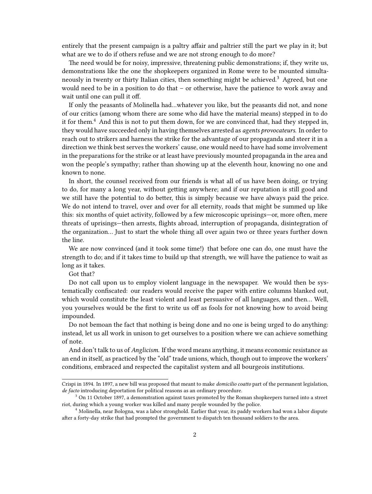entirely that the present campaign is a paltry affair and paltrier still the part we play in it; but what are we to do if others refuse and we are not strong enough to do more?

The need would be for noisy, impressive, threatening public demonstrations; if, they write us, demonstrations like the one the shopkeepers organized in Rome were to be mounted simultaneously in twenty or thirty Italian cities, then something might be achieved.<sup>3</sup> Agreed, but one would need to be in a position to do that – or otherwise, have the patience to work away and wait until one can pull it off.

If only the peasants of Molinella had…whatever you like, but the peasants did not, and none of our critics (among whom there are some who did have the material means) stepped in to do it for them.<sup>4</sup> And this is not to put them down, for we are convinced that, had they stepped in, they would have succeeded only in having themselves arrested as *agents provocateurs*. In order to reach out to strikers and harness the strike for the advantage of our propaganda and steer it in a direction we think best serves the workers' cause, one would need to have had some involvement in the preparations for the strike or at least have previously mounted propaganda in the area and won the people's sympathy; rather than showing up at the eleventh hour, knowing no one and known to none.

In short, the counsel received from our friends is what all of us have been doing, or trying to do, for many a long year, without getting anywhere; and if our reputation is still good and we still have the potential to do better, this is simply because we have always paid the price. We do not intend to travel, over and over for all eternity, roads that might be summed up like this: six months of quiet activity, followed by a few microscopic uprisings—or, more often, mere threats of uprisings—then arrests, flights abroad, interruption of propaganda, disintegration of the organization… Just to start the whole thing all over again two or three years further down the line.

We are now convinced (and it took some time!) that before one can do, one must have the strength to do; and if it takes time to build up that strength, we will have the patience to wait as long as it takes.

Got that?

Do not call upon us to employ violent language in the newspaper. We would then be systematically confiscated: our readers would receive the paper with entire columns blanked out, which would constitute the least violent and least persuasive of all languages, and then… Well, you yourselves would be the first to write us off as fools for not knowing how to avoid being impounded.

Do not bemoan the fact that nothing is being done and no one is being urged to do anything: instead, let us all work in unison to get ourselves to a position where we can achieve something of note.

And don't talk to us of *Anglicism*. If the word means anything, it means economic resistance as an end in itself, as practiced by the "old" trade unions, which, though out to improve the workers' conditions, embraced and respected the capitalist system and all bourgeois institutions.

Crispi in 1894. In 1897, a new bill was proposed that meant to make *domicilio coatto* part of the permanent legislation, *de facto* introducing deportation for political reasons as an ordinary procedure.

<sup>&</sup>lt;sup>3</sup> On 11 October 1897, a demonstration against taxes promoted by the Roman shopkeepers turned into a street riot, during which a young worker was killed and many people wounded by the police.

<sup>4</sup> Molinella, near Bologna, was a labor stronghold. Earlier that year, its paddy workers had won a labor dispute after a forty-day strike that had prompted the government to dispatch ten thousand soldiers to the area.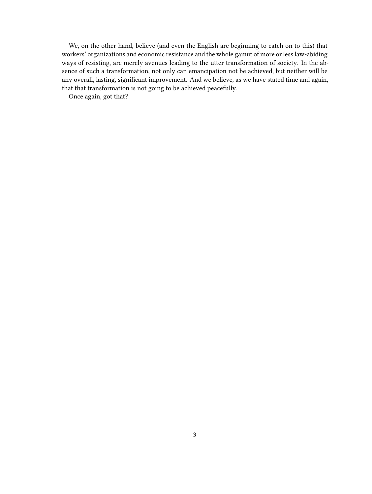We, on the other hand, believe (and even the English are beginning to catch on to this) that workers' organizations and economic resistance and the whole gamut of more or less law-abiding ways of resisting, are merely avenues leading to the utter transformation of society. In the absence of such a transformation, not only can emancipation not be achieved, but neither will be any overall, lasting, significant improvement. And we believe, as we have stated time and again, that that transformation is not going to be achieved peacefully.

Once again, got that?